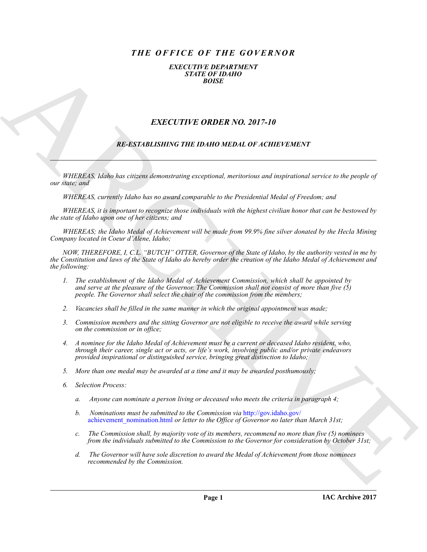# *THE OFFICE OF THE GOVERNOR*

*EXECUTIVE DEPARTMENT STATE OF IDAHO BOISE*

## *EXECUTIVE ORDER NO. 2017-10*

## *RE-ESTABLISHING THE IDAHO MEDAL OF ACHIEVEMENT*

*WHEREAS, Idaho has citizens demonstrating exceptional, meritorious and inspirational service to the people of our state; and*

*WHEREAS, currently Idaho has no award comparable to the Presidential Medal of Freedom; and*

*WHEREAS, it is important to recognize those individuals with the highest civilian honor that can be bestowed by the state of Idaho upon one of her citizens; and*

*WHEREAS; the Idaho Medal of Achievement will be made from 99.9% fine silver donated by the Hecla Mining Company located in Coeur d'Alene, Idaho;*

**EXACT CITY IF ORDER NO. 2017-10**<br>
EXACT THE ORDER NO. 2017-10<br> **EXACT CITY ORDER NO. 2017-10**<br> **EXACT CITY ORDER NO. 2017-10**<br> **EXACT CITY ORDER NO. 2017-10**<br> **EXACT CITY ORDER NO. 2017-10**<br> **EXACT CITY ORDER NO. 2017-10** *NOW, THEREFORE, I, C.L. "BUTCH" OTTER, Governor of the State of Idaho, by the authority vested in me by the Constitution and laws of the State of Idaho do hereby order the creation of the Idaho Medal of Achievement and the following:*

- *1. The establishment of the Idaho Medal of Achievement Commission, which shall be appointed by and serve at the pleasure of the Governor. The Commission shall not consist of more than five (5) people. The Governor shall select the chair of the commission from the members;*
- *2. Vacancies shall be filled in the same manner in which the original appointment was made;*
- *3. Commission members and the sitting Governor are not eligible to receive the award while serving on the commission or in office;*
- *4. A nominee for the Idaho Medal of Achievement must be a current or deceased Idaho resident, who, through their career, single act or acts, or life's work, involving public and/or private endeavors provided inspirational or distinguished service, bringing great distinction to Idaho;*
- *5. More than one medal may be awarded at a time and it may be awarded posthumously;*
- *6. Selection Process:*
	- *a. Anyone can nominate a person living or deceased who meets the criteria in paragraph 4;*
	- *b. Nominations must be submitted to the Commission via* http://gov.idaho.gov/ achievement\_nomination.html *or letter to the Office of Governor no later than March 31st;*
	- *c. The Commission shall, by majority vote of its members, recommend no more than five (5) nominees from the individuals submitted to the Commission to the Governor for consideration by October 31st;*
	- *d. The Governor will have sole discretion to award the Medal of Achievement from those nominees recommended by the Commission.*